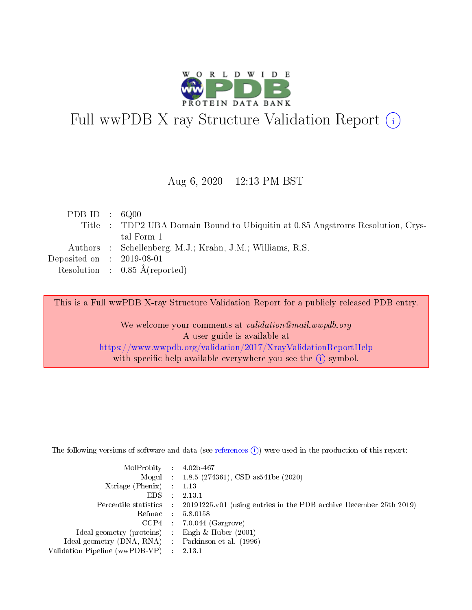

# Full wwPDB X-ray Structure Validation Report (i)

#### Aug 6,  $2020 - 12:13$  PM BST

| PDB ID : $6Q00$             |                                                                                |
|-----------------------------|--------------------------------------------------------------------------------|
|                             | Title : TDP2 UBA Domain Bound to Ubiquitin at 0.85 Angstroms Resolution, Crys- |
|                             | tal Form 1                                                                     |
|                             | Authors : Schellenberg, M.J.; Krahn, J.M.; Williams, R.S.                      |
| Deposited on : $2019-08-01$ |                                                                                |
|                             | Resolution : $0.85 \text{ Å}$ (reported)                                       |

This is a Full wwPDB X-ray Structure Validation Report for a publicly released PDB entry.

We welcome your comments at validation@mail.wwpdb.org A user guide is available at <https://www.wwpdb.org/validation/2017/XrayValidationReportHelp> with specific help available everywhere you see the  $(i)$  symbol.

The following versions of software and data (see [references](https://www.wwpdb.org/validation/2017/XrayValidationReportHelp#references)  $(1)$ ) were used in the production of this report:

| $MolProbability$ : 4.02b-467                      |        |                                                                                            |
|---------------------------------------------------|--------|--------------------------------------------------------------------------------------------|
|                                                   |        | Mogul : $1.8.5$ (274361), CSD as 541be (2020)                                              |
| Xtriage (Phenix) $: 1.13$                         |        |                                                                                            |
| EDS –                                             | $\sim$ | 2.13.1                                                                                     |
|                                                   |        | Percentile statistics : 20191225.v01 (using entries in the PDB archive December 25th 2019) |
| Refmac : 5.8.0158                                 |        |                                                                                            |
| $CCP4$ :                                          |        | $7.0.044$ (Gargrove)                                                                       |
| Ideal geometry (proteins) :                       |        | Engh $\&$ Huber (2001)                                                                     |
| Ideal geometry (DNA, RNA) Parkinson et al. (1996) |        |                                                                                            |
| Validation Pipeline (wwPDB-VP) : 2.13.1           |        |                                                                                            |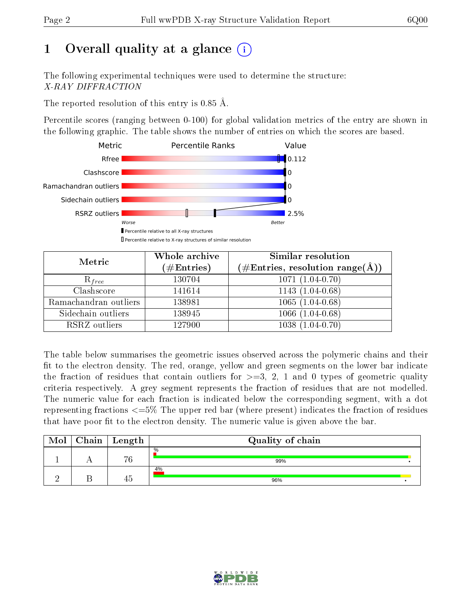## 1 [O](https://www.wwpdb.org/validation/2017/XrayValidationReportHelp#overall_quality)verall quality at a glance  $(i)$

The following experimental techniques were used to determine the structure: X-RAY DIFFRACTION

The reported resolution of this entry is  $0.85 \text{ Å}.$ 

Percentile scores (ranging between 0-100) for global validation metrics of the entry are shown in the following graphic. The table shows the number of entries on which the scores are based.



| Metric                | Whole archive<br>$(\#\mathrm{Entries})$ | <b>Similar resolution</b><br>$(\#\text{Entries}, \, \text{resolution range}(\textup{\AA}))$ |
|-----------------------|-----------------------------------------|---------------------------------------------------------------------------------------------|
| $R_{free}$            | 130704                                  | $1071(1.04-0.70)$                                                                           |
| Clashscore            | 141614                                  | $1143(1.04-0.68)$                                                                           |
| Ramachandran outliers | 138981                                  | $1065(1.04-0.68)$                                                                           |
| Sidechain outliers    | 138945                                  | $1066(1.04-0.68)$                                                                           |
| RSRZ outliers         | 127900                                  | $1038(1.04-0.70)$                                                                           |

The table below summarises the geometric issues observed across the polymeric chains and their fit to the electron density. The red, orange, yellow and green segments on the lower bar indicate the fraction of residues that contain outliers for  $>=3, 2, 1$  and 0 types of geometric quality criteria respectively. A grey segment represents the fraction of residues that are not modelled. The numeric value for each fraction is indicated below the corresponding segment, with a dot representing fractions  $\epsilon=5\%$  The upper red bar (where present) indicates the fraction of residues that have poor fit to the electron density. The numeric value is given above the bar.

| Mol | $Chain \  Length$ | Quality of chain     |  |  |  |  |
|-----|-------------------|----------------------|--|--|--|--|
|     | 76                | $\frac{0}{0}$<br>99% |  |  |  |  |
|     | 45                | 4%<br>96%            |  |  |  |  |

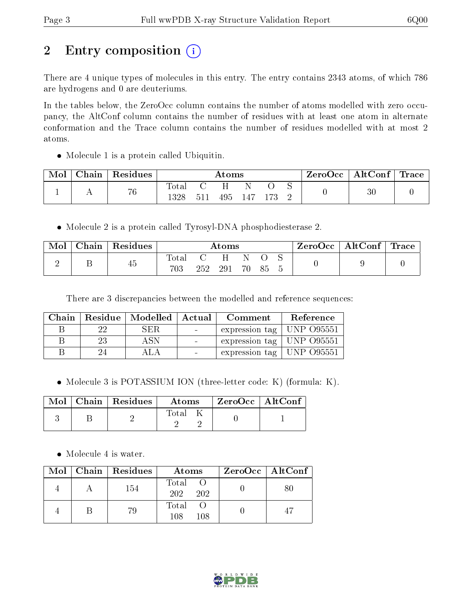## 2 Entry composition (i)

There are 4 unique types of molecules in this entry. The entry contains 2343 atoms, of which 786 are hydrogens and 0 are deuteriums.

In the tables below, the ZeroOcc column contains the number of atoms modelled with zero occupancy, the AltConf column contains the number of residues with at least one atom in alternate conformation and the Trace column contains the number of residues modelled with at most 2 atoms.

Molecule 1 is a protein called Ubiquitin.

| Mol | Chain | $\,$ Residues $\,$ |                        | Atoms |     |     |  | ZeroOcc | $\vert$ AltConf $\vert$ Trace $\vert$ |        |  |
|-----|-------|--------------------|------------------------|-------|-----|-----|--|---------|---------------------------------------|--------|--|
|     |       | 76                 | $\text{Total}$<br>1328 | 511   | 495 | 147 |  |         |                                       | $30\,$ |  |

Molecule 2 is a protein called Tyrosyl-DNA phosphodiesterase 2.

| Mol | Chain   Residues | Atoms        |     |     |      | ZeroOcc∣ | $\mid$ AltConf $\mid$ | $\perp$ Trace |  |  |
|-----|------------------|--------------|-----|-----|------|----------|-----------------------|---------------|--|--|
|     | 45               | Total<br>703 | 252 | 291 | - 70 | 85       |                       |               |  |  |

There are 3 discrepancies between the modelled and reference sequences:

| Chain |      | Residue   Modelled   Actual |                              | Comment                               | Reference |
|-------|------|-----------------------------|------------------------------|---------------------------------------|-----------|
|       | -22. | SER.                        | <b>Contract Contract</b>     | expression tag   UNP $O95551$         |           |
|       | 23   | A SN                        |                              | expression tag   UNP 095551           |           |
|       |      |                             | $\mathcal{L}_{\text{max}}$ . | $\pm$ expression tag $\pm$ UNP 095551 |           |

• Molecule 3 is POTASSIUM ION (three-letter code: K) (formula: K).

|  | $Mol$   Chain   Residues | Atoms | $^\mathrm{+}$ ZeroOcc   AltConf $^\mathrm{+}$ |  |
|--|--------------------------|-------|-----------------------------------------------|--|
|  |                          | Tota: |                                               |  |

• Molecule 4 is water.

|  | $Mol$   Chain   Residues | Atoms               | $ZeroOcc \   \ AltConf \  $ |
|--|--------------------------|---------------------|-----------------------------|
|  | 154                      | Total<br>202<br>202 | 80                          |
|  | 79                       | Total<br>108<br>108 | 47                          |

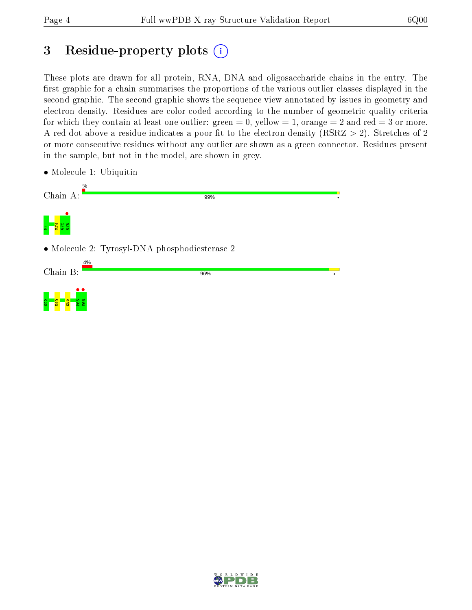## 3 Residue-property plots  $(i)$

These plots are drawn for all protein, RNA, DNA and oligosaccharide chains in the entry. The first graphic for a chain summarises the proportions of the various outlier classes displayed in the second graphic. The second graphic shows the sequence view annotated by issues in geometry and electron density. Residues are color-coded according to the number of geometric quality criteria for which they contain at least one outlier: green  $= 0$ , yellow  $= 1$ , orange  $= 2$  and red  $= 3$  or more. A red dot above a residue indicates a poor fit to the electron density ( $\text{RSRZ} > 2$ ). Stretches of 2 or more consecutive residues without any outlier are shown as a green connector. Residues present in the sample, but not in the model, are shown in grey.



• Molecule 1: Ubiquitin

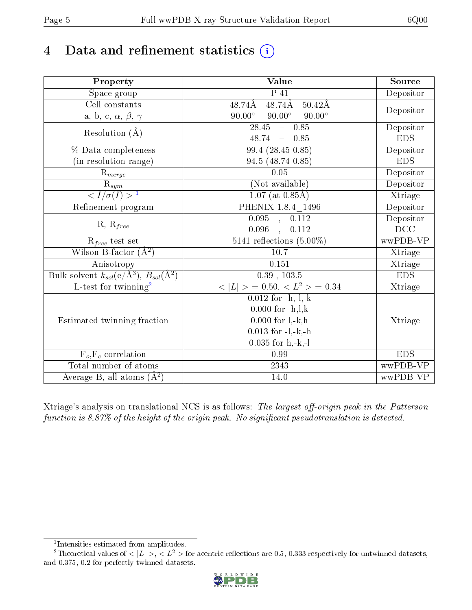## 4 Data and refinement statistics  $(i)$

| Property                                                         | Value                                                    | Source     |
|------------------------------------------------------------------|----------------------------------------------------------|------------|
| Space group                                                      | $\overline{P41}$                                         | Depositor  |
| Cell constants                                                   | $48.74\AA$ $48.74\AA$ $50.42\AA$                         |            |
| a, b, c, $\alpha$ , $\beta$ , $\gamma$                           | $90.00^\circ$<br>$90.00^\circ$<br>$90.00^\circ$          | Depositor  |
| Resolution $(\AA)$                                               | $\overline{28.45 - 0.85}$                                | Depositor  |
|                                                                  | $48.74 - 0.85$                                           | EDS        |
| % Data completeness                                              | $99.4(28.45-0.85)$                                       | Depositor  |
| (in resolution range)                                            | 94.5 (48.74-0.85)                                        | <b>EDS</b> |
| $R_{merge}$                                                      | 0.05                                                     | Depositor  |
| $\frac{R_{sym}}{{}1}$                                            | (Not available)                                          | Depositor  |
|                                                                  | $1.07$ (at 0.85Å)                                        | Xtriage    |
| Refinement program                                               | PHENIX 1.8.4 1496                                        | Depositor  |
|                                                                  | $0.095$ , $0.112$                                        | Depositor  |
| $R, R_{free}$                                                    | 0.096<br>, 0.112                                         | DCC        |
| $\mathrm{R}_{free}$ test set                                     | $5141$ reflections $(5.00\%)$                            | wwPDB-VP   |
| Wilson B-factor $(A^2)$                                          | 10.7                                                     | Xtriage    |
| Anisotropy                                                       | 0.151                                                    | Xtriage    |
| Bulk solvent $k_{sol}(\text{e}/\text{A}^3), B_{sol}(\text{A}^2)$ | $0.39$ , $103.5$                                         | <b>EDS</b> |
| L-test for twinning <sup>2</sup>                                 | $\langle  L  \rangle = 0.50, \langle L^2 \rangle = 0.34$ | Xtriage    |
|                                                                  | $0.012$ for $-h,-1,-k$                                   |            |
|                                                                  | $0.000$ for $-h, l, k$                                   |            |
| Estimated twinning fraction                                      | $0.000$ for $l, -k, h$                                   | Xtriage    |
|                                                                  | $0.013$ for $-l,-k,-h$                                   |            |
|                                                                  | $0.035$ for $h, -k, -l$                                  |            |
| $F_o, F_c$ correlation                                           | 0.99                                                     | <b>EDS</b> |
| Total number of atoms                                            | 2343                                                     | wwPDB-VP   |
| Average B, all atoms $(A^2)$                                     | 14.0                                                     | wwPDB-VP   |

Xtriage's analysis on translational NCS is as follows: The largest off-origin peak in the Patterson function is  $8.87\%$  of the height of the origin peak. No significant pseudotranslation is detected.

<sup>&</sup>lt;sup>2</sup>Theoretical values of  $\langle |L| \rangle$ ,  $\langle L^2 \rangle$  for acentric reflections are 0.5, 0.333 respectively for untwinned datasets, and 0.375, 0.2 for perfectly twinned datasets.



<span id="page-4-1"></span><span id="page-4-0"></span><sup>1</sup> Intensities estimated from amplitudes.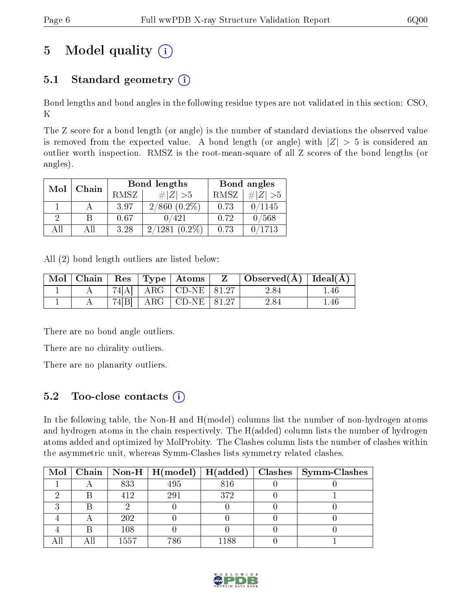## 5 Model quality  $(i)$

## 5.1 Standard geometry  $(i)$

Bond lengths and bond angles in the following residue types are not validated in this section: CSO, K

The Z score for a bond length (or angle) is the number of standard deviations the observed value is removed from the expected value. A bond length (or angle) with  $|Z| > 5$  is considered an outlier worth inspection. RMSZ is the root-mean-square of all Z scores of the bond lengths (or angles).

| Mol | Chain |             | <b>Bond lengths</b> | Bond angles |           |  |
|-----|-------|-------------|---------------------|-------------|-----------|--|
|     |       | <b>RMSZ</b> | $\# Z  > 5$         | RMSZ        | # $ Z >5$ |  |
|     |       | 3.97        | $2/860$ $(0.2\%)$   | 0.73        | 0/1145    |  |
| 9   |       | 0.67        | 0/421               | 0.72        | 0/568     |  |
| AH  | Αll   | 3.28        | 2/1281<br>$(0.2\%)$ | 0.73        | 0/1713    |  |

All (2) bond length outliers are listed below:

|  |       | $\vert$ Mol $\vert$ Chain $\vert$ Res $\vert$ Type $\vert$ Atoms | $Z \parallel$ Observed( $\AA$ )   Ideal( $\AA$ ) |     |
|--|-------|------------------------------------------------------------------|--------------------------------------------------|-----|
|  |       | $74[A]$   ARG   CD-NE   81.27                                    | 2.84                                             | .46 |
|  | 74[B] | $ARG$ CD-NE $81.27$                                              | 2.84                                             | .46 |

There are no bond angle outliers.

There are no chirality outliers.

There are no planarity outliers.

### 5.2 Too-close contacts  $\overline{a}$

In the following table, the Non-H and H(model) columns list the number of non-hydrogen atoms and hydrogen atoms in the chain respectively. The H(added) column lists the number of hydrogen atoms added and optimized by MolProbity. The Clashes column lists the number of clashes within the asymmetric unit, whereas Symm-Clashes lists symmetry related clashes.

| Mol |      | $\mid$ Chain $\mid$ Non-H $\mid$ H(model) $\mid$ |      | $H(added)   Classhes   Symm-Classes$ |
|-----|------|--------------------------------------------------|------|--------------------------------------|
|     | 833  | 495                                              | 816  |                                      |
|     | 412  | 291                                              | 372  |                                      |
|     |      |                                                  |      |                                      |
|     | 202  |                                                  |      |                                      |
|     | 108  |                                                  |      |                                      |
|     | 1557 | 786                                              | 1188 |                                      |

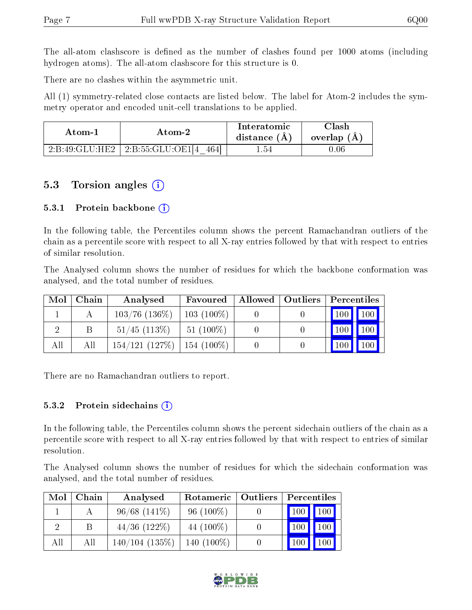The all-atom clashscore is defined as the number of clashes found per 1000 atoms (including hydrogen atoms). The all-atom clashscore for this structure is 0.

There are no clashes within the asymmetric unit.

All (1) symmetry-related close contacts are listed below. The label for Atom-2 includes the symmetry operator and encoded unit-cell translations to be applied.

| Atom-2                     |                            | Interatomic    | `lash         |
|----------------------------|----------------------------|----------------|---------------|
| Atom-1                     |                            | distance $(A)$ | overlap $(A)$ |
| $-2$ :B:49:GLU:HE2 $\perp$ | 2:B:55:GLU:OE1 4  <br>4641 | - 54           | $0.06\,$      |

### 5.3 Torsion angles  $(i)$

#### 5.3.1 Protein backbone  $(i)$

In the following table, the Percentiles column shows the percent Ramachandran outliers of the chain as a percentile score with respect to all X-ray entries followed by that with respect to entries of similar resolution.

The Analysed column shows the number of residues for which the backbone conformation was analysed, and the total number of residues.

| Mol | Chain | Analysed                        | Favoured     | Allowed   Outliers | Percentiles             |
|-----|-------|---------------------------------|--------------|--------------------|-------------------------|
|     |       | $103/76$ $(136\%)$              | $103(100\%)$ |                    | 100 100                 |
|     |       | $51/45$ (113\%)                 | $51(100\%)$  |                    | 100<br>100              |
| All | Αll   | $154/121$ (127\%)   154 (100\%) |              |                    | 100<br>100 <sub>1</sub> |

There are no Ramachandran outliers to report.

#### 5.3.2 Protein sidechains  $(i)$

In the following table, the Percentiles column shows the percent sidechain outliers of the chain as a percentile score with respect to all X-ray entries followed by that with respect to entries of similar resolution.

The Analysed column shows the number of residues for which the sidechain conformation was analysed, and the total number of residues.

| Mol      | Chain | Analysed          | Rotameric   Outliers | Percentiles |     |  |
|----------|-------|-------------------|----------------------|-------------|-----|--|
|          |       | $96/68$ $(141\%)$ | $96(100\%)$          | 100         | 100 |  |
| $\Omega$ |       | $44/36$ (122\%)   | 44 (100\%)           | 100         | 100 |  |
| All      | All   | $140/104$ (135\%) | $140(100\%)$         |             |     |  |

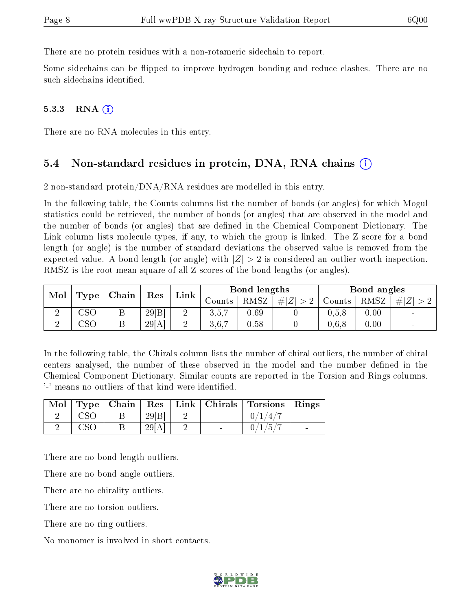There are no protein residues with a non-rotameric sidechain to report.

Some sidechains can be flipped to improve hydrogen bonding and reduce clashes. There are no such sidechains identified.

#### $5.3.3$  RNA  $(i)$

There are no RNA molecules in this entry.

#### 5.4 Non-standard residues in protein, DNA, RNA chains (i)

2 non-standard protein/DNA/RNA residues are modelled in this entry.

In the following table, the Counts columns list the number of bonds (or angles) for which Mogul statistics could be retrieved, the number of bonds (or angles) that are observed in the model and the number of bonds (or angles) that are defined in the Chemical Component Dictionary. The Link column lists molecule types, if any, to which the group is linked. The Z score for a bond length (or angle) is the number of standard deviations the observed value is removed from the expected value. A bond length (or angle) with  $|Z| > 2$  is considered an outlier worth inspection. RMSZ is the root-mean-square of all Z scores of the bond lengths (or angles).

| Mol |                                  | Chain | Res   |      |        | Bond lengths |         |        | Bond angles |     |
|-----|----------------------------------|-------|-------|------|--------|--------------|---------|--------|-------------|-----|
|     | Type                             |       |       | Link | Jounts | RMSZ         | $\# Z $ | Counts | RMSZ        | # Z |
|     | $\mathbb{C}\mathbf{S}\mathbb{C}$ |       | 29 B  |      | 3,5,7  | 0.69         |         | 0.5.8  | 0.00        | -   |
| ↵   | $\csc$                           |       | 29[A] |      | 3,6,7  | 0.58         |         | 0,6,8  | 0.00        |     |

In the following table, the Chirals column lists the number of chiral outliers, the number of chiral centers analysed, the number of these observed in the model and the number defined in the Chemical Component Dictionary. Similar counts are reported in the Torsion and Rings columns. '-' means no outliers of that kind were identified.

| Mol | $\vert$ Type $\vert$ | $\mid$ Chain |       |  | $Res$   Link   Chirals   Torsions | Rings |
|-----|----------------------|--------------|-------|--|-----------------------------------|-------|
|     |                      |              | 29 B  |  | ′4.                               |       |
|     |                      |              | 29[A] |  | $\mathbf{1}$                      |       |

There are no bond length outliers.

There are no bond angle outliers.

There are no chirality outliers.

There are no torsion outliers.

There are no ring outliers.

No monomer is involved in short contacts.

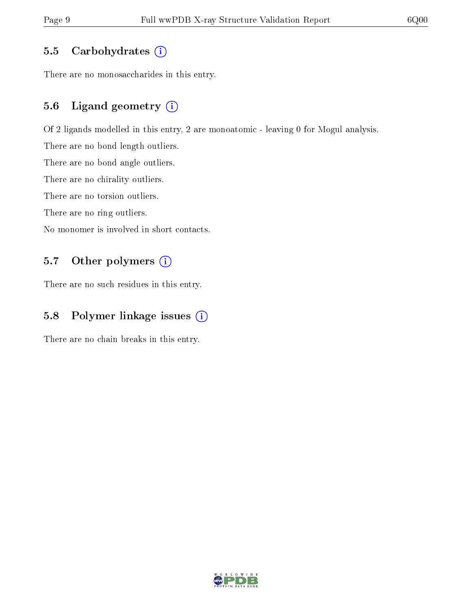#### 5.5 Carbohydrates  $(i)$

There are no monosaccharides in this entry.

#### 5.6 Ligand geometry (i)

Of 2 ligands modelled in this entry, 2 are monoatomic - leaving 0 for Mogul analysis.

There are no bond length outliers.

There are no bond angle outliers.

There are no chirality outliers.

There are no torsion outliers.

There are no ring outliers.

No monomer is involved in short contacts.

#### 5.7 [O](https://www.wwpdb.org/validation/2017/XrayValidationReportHelp#nonstandard_residues_and_ligands)ther polymers (i)

There are no such residues in this entry.

#### 5.8 Polymer linkage issues (i)

There are no chain breaks in this entry.

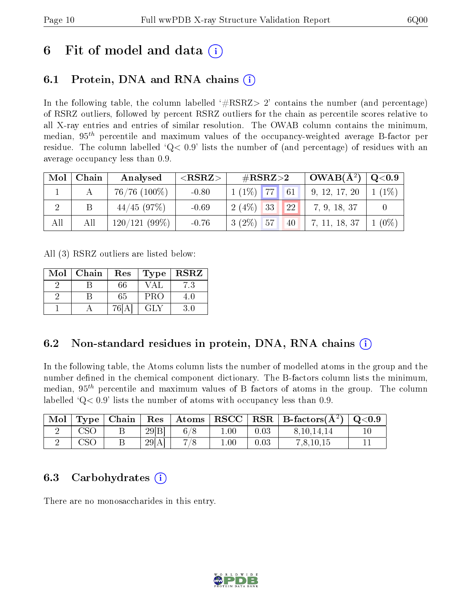## 6 Fit of model and data  $\circ$

### 6.1 Protein, DNA and RNA chains (i)

In the following table, the column labelled  $#RSRZ>2'$  contains the number (and percentage) of RSRZ outliers, followed by percent RSRZ outliers for the chain as percentile scores relative to all X-ray entries and entries of similar resolution. The OWAB column contains the minimum, median,  $95<sup>th</sup>$  percentile and maximum values of the occupancy-weighted average B-factor per residue. The column labelled ' $Q< 0.9$ ' lists the number of (and percentage) of residues with an average occupancy less than 0.9.

| Mol | Chain | Analysed          | $<$ RSRZ $>$ | $\#\text{RSRZ}\text{>2}$    | $\vert$ OWAB( $A^2$ ) $\vert$ | $\rm Q\textcolor{black}{<}0.9$ |
|-----|-------|-------------------|--------------|-----------------------------|-------------------------------|--------------------------------|
|     |       | $76/76$ $(100\%)$ | $-0.80$      | $1(1\%)$ 77<br>61           | 9, 12, 17, 20                 | $1(1\%)$                       |
|     |       | 44/45(97%)        | $-0.69$      | $2(4\%)$<br>33<br><b>22</b> | 7, 9, 18, 37                  |                                |
| All | Αll   | $120/121(99\%)$   | $-0.76$      | $3(2\%)$<br>57<br>40        | 7, 11, 18, 37                 | $(0\%$                         |

All (3) RSRZ outliers are listed below:

| Mol | Chain | $\operatorname{Res}% \left( \mathcal{N}\right) \equiv\operatorname{Res}(\mathcal{N}_{0})\cap\mathcal{N}_{1}$<br><b>Type</b> |            | <b>RSRZ</b> |
|-----|-------|-----------------------------------------------------------------------------------------------------------------------------|------------|-------------|
|     |       | 66                                                                                                                          | VAL.       | 7.3         |
|     |       | 65                                                                                                                          | <b>PRO</b> | 4 O         |
|     |       | 76I                                                                                                                         | GH.        |             |

### 6.2 Non-standard residues in protein, DNA, RNA chains (i)

In the following table, the Atoms column lists the number of modelled atoms in the group and the number defined in the chemical component dictionary. The B-factors column lists the minimum, median,  $95<sup>th</sup>$  percentile and maximum values of B factors of atoms in the group. The column labelled  $Q< 0.9$  lists the number of atoms with occupancy less than 0.9.

|     | $\mid$ Mol $\mid$ Type $\mid$ Chain $\mid$ |       |     |          |      | $\parallel$ Res $\parallel$ Atoms $\parallel$ RSCC $\parallel$ RSR $\parallel$ B-factors(A <sup>2</sup> ) $\parallel$ Q<0.9 |  |
|-----|--------------------------------------------|-------|-----|----------|------|-----------------------------------------------------------------------------------------------------------------------------|--|
| CSO |                                            | 29 B  | 6/8 | $1.00\,$ | 0.03 | 8, 10, 14, 14                                                                                                               |  |
| CSO |                                            | 29[A] | 7/8 | 00.1     | 0.03 | 7,8,10,15                                                                                                                   |  |

#### 6.3 Carbohydrates (i)

There are no monosaccharides in this entry.